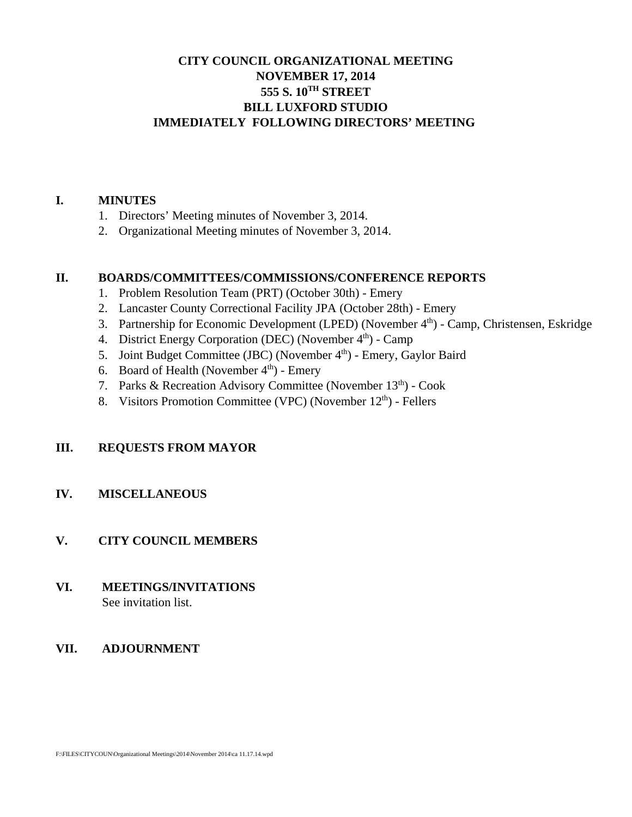# **CITY COUNCIL ORGANIZATIONAL MEETING NOVEMBER 17, 2014 555 S. 10TH STREET BILL LUXFORD STUDIO IMMEDIATELY FOLLOWING DIRECTORS' MEETING**

#### **I. MINUTES**

- 1. Directors' Meeting minutes of November 3, 2014.
- 2. Organizational Meeting minutes of November 3, 2014.

#### **II. BOARDS/COMMITTEES/COMMISSIONS/CONFERENCE REPORTS**

- 1. Problem Resolution Team (PRT) (October 30th) Emery
- 2. Lancaster County Correctional Facility JPA (October 28th) Emery
- 3. Partnership for Economic Development (LPED) (November 4th) Camp, Christensen, Eskridge
- 4. District Energy Corporation (DEC) (November 4<sup>th</sup>) Camp
- 5. Joint Budget Committee (JBC) (November 4<sup>th</sup>) Emery, Gaylor Baird
- 6. Board of Health (November  $4<sup>th</sup>$ ) Emery
- 7. Parks & Recreation Advisory Committee (November 13<sup>th</sup>) Cook
- 8. Visitors Promotion Committee (VPC) (November 12<sup>th</sup>) Fellers

## **III. REQUESTS FROM MAYOR**

## **IV. MISCELLANEOUS**

## **V. CITY COUNCIL MEMBERS**

**VI. MEETINGS/INVITATIONS** See invitation list.

## **VII. ADJOURNMENT**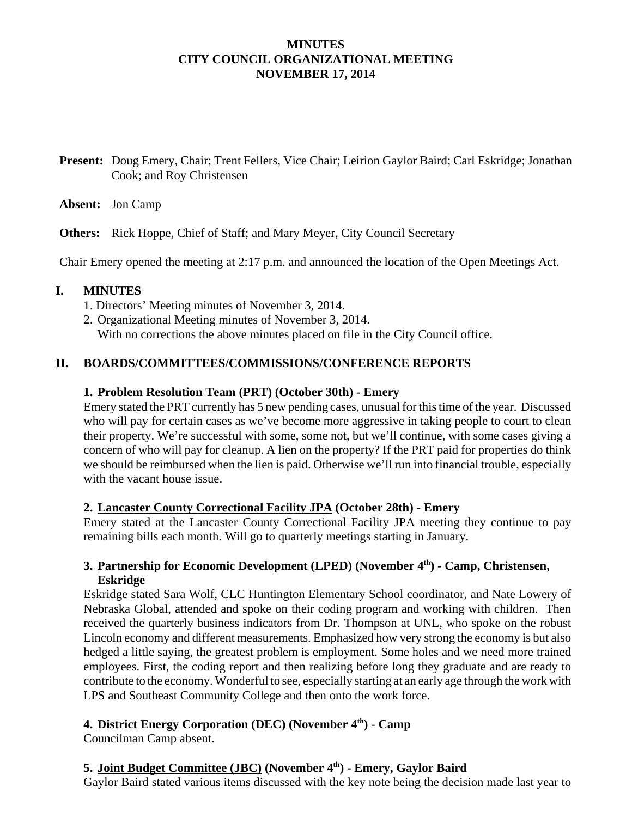## **MINUTES CITY COUNCIL ORGANIZATIONAL MEETING NOVEMBER 17, 2014**

**Present:** Doug Emery, Chair; Trent Fellers, Vice Chair; Leirion Gaylor Baird; Carl Eskridge; Jonathan Cook; and Roy Christensen

**Absent:** Jon Camp

**Others:** Rick Hoppe, Chief of Staff; and Mary Meyer, City Council Secretary

Chair Emery opened the meeting at 2:17 p.m. and announced the location of the Open Meetings Act.

#### **I. MINUTES**

- 1. Directors' Meeting minutes of November 3, 2014.
- 2. Organizational Meeting minutes of November 3, 2014.

With no corrections the above minutes placed on file in the City Council office.

## **II. BOARDS/COMMITTEES/COMMISSIONS/CONFERENCE REPORTS**

#### **1. Problem Resolution Team (PRT) (October 30th) - Emery**

Emery stated the PRT currently has 5 new pending cases, unusual for this time of the year. Discussed who will pay for certain cases as we've become more aggressive in taking people to court to clean their property. We're successful with some, some not, but we'll continue, with some cases giving a concern of who will pay for cleanup. A lien on the property? If the PRT paid for properties do think we should be reimbursed when the lien is paid. Otherwise we'll run into financial trouble, especially with the vacant house issue.

## **2. Lancaster County Correctional Facility JPA (October 28th) - Emery**

Emery stated at the Lancaster County Correctional Facility JPA meeting they continue to pay remaining bills each month. Will go to quarterly meetings starting in January.

## **3. Partnership for Economic Development (LPED) (November 4th) - Camp, Christensen, Eskridge**

Eskridge stated Sara Wolf, CLC Huntington Elementary School coordinator, and Nate Lowery of Nebraska Global, attended and spoke on their coding program and working with children. Then received the quarterly business indicators from Dr. Thompson at UNL, who spoke on the robust Lincoln economy and different measurements. Emphasized how very strong the economy is but also hedged a little saying, the greatest problem is employment. Some holes and we need more trained employees. First, the coding report and then realizing before long they graduate and are ready to contribute to the economy. Wonderful to see, especially starting at an early age through the work with LPS and Southeast Community College and then onto the work force.

# **4. District Energy Corporation (DEC) (November 4th) - Camp**

Councilman Camp absent.

# **5. Joint Budget Committee (JBC) (November 4th) - Emery, Gaylor Baird**

Gaylor Baird stated various items discussed with the key note being the decision made last year to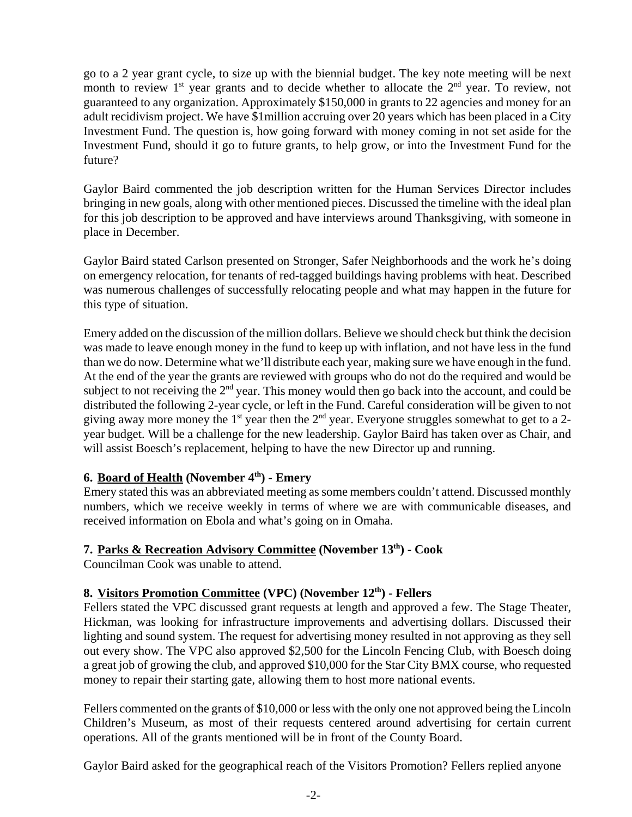go to a 2 year grant cycle, to size up with the biennial budget. The key note meeting will be next month to review  $1<sup>st</sup>$  year grants and to decide whether to allocate the  $2<sup>nd</sup>$  year. To review, not guaranteed to any organization. Approximately \$150,000 in grants to 22 agencies and money for an adult recidivism project. We have \$1million accruing over 20 years which has been placed in a City Investment Fund. The question is, how going forward with money coming in not set aside for the Investment Fund, should it go to future grants, to help grow, or into the Investment Fund for the future?

Gaylor Baird commented the job description written for the Human Services Director includes bringing in new goals, along with other mentioned pieces. Discussed the timeline with the ideal plan for this job description to be approved and have interviews around Thanksgiving, with someone in place in December.

Gaylor Baird stated Carlson presented on Stronger, Safer Neighborhoods and the work he's doing on emergency relocation, for tenants of red-tagged buildings having problems with heat. Described was numerous challenges of successfully relocating people and what may happen in the future for this type of situation.

Emery added on the discussion of the million dollars. Believe we should check but think the decision was made to leave enough money in the fund to keep up with inflation, and not have less in the fund than we do now. Determine what we'll distribute each year, making sure we have enough in the fund. At the end of the year the grants are reviewed with groups who do not do the required and would be subject to not receiving the  $2<sup>nd</sup>$  year. This money would then go back into the account, and could be distributed the following 2-year cycle, or left in the Fund. Careful consideration will be given to not giving away more money the 1<sup>st</sup> year then the  $2<sup>nd</sup>$  year. Everyone struggles somewhat to get to a 2year budget. Will be a challenge for the new leadership. Gaylor Baird has taken over as Chair, and will assist Boesch's replacement, helping to have the new Director up and running.

## **6. Board of Health (November 4<sup>th</sup>) - Emery**

Emery stated this was an abbreviated meeting as some members couldn't attend. Discussed monthly numbers, which we receive weekly in terms of where we are with communicable diseases, and received information on Ebola and what's going on in Omaha.

## **7. Parks & Recreation Advisory Committee (November 13th) - Cook**

Councilman Cook was unable to attend.

## **8. Visitors Promotion Committee (VPC) (November 12th) - Fellers**

Fellers stated the VPC discussed grant requests at length and approved a few. The Stage Theater, Hickman, was looking for infrastructure improvements and advertising dollars. Discussed their lighting and sound system. The request for advertising money resulted in not approving as they sell out every show. The VPC also approved \$2,500 for the Lincoln Fencing Club, with Boesch doing a great job of growing the club, and approved \$10,000 for the Star City BMX course, who requested money to repair their starting gate, allowing them to host more national events.

Fellers commented on the grants of \$10,000 or less with the only one not approved being the Lincoln Children's Museum, as most of their requests centered around advertising for certain current operations. All of the grants mentioned will be in front of the County Board.

Gaylor Baird asked for the geographical reach of the Visitors Promotion? Fellers replied anyone